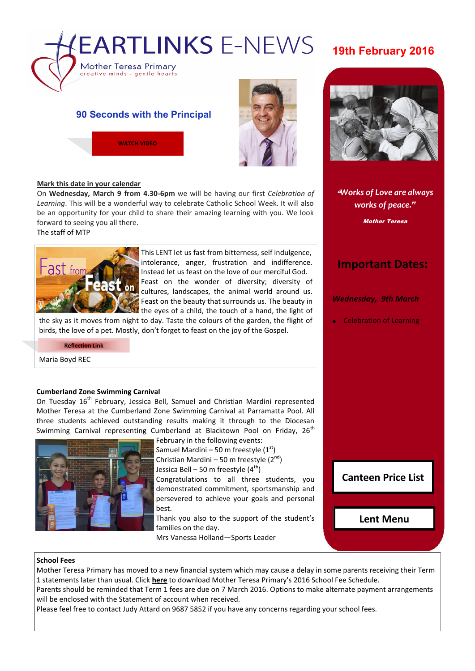

#### **90 Seconds with the Principal**





#### **Mark this date in your calendar**

On **Wednesday, March 9 from 4.30-6pm** we will be having our first *Celebration of Learning*. This will be a wonderful way to celebrate Catholic School Week. It will also be an opportunity for your child to share their amazing learning with you. We look forward to seeing you all there.

The staff of MTP



This LENT let us fast from bitterness, self indulgence, intolerance, anger, frustration and indifference. Instead let us feast on the love of our merciful God. Feast on the wonder of diversity; diversity of cultures, landscapes, the animal world around us. Feast on the beauty that surrounds us. The beauty in the eyes of a child, the touch of a hand, the light of

the sky as it moves from night to day. Taste the colours of the garden, the flight of birds, the love of a pet. Mostly, don't forget to feast on the joy of the Gospel.

**[Reflection Link](https://skitguys.com/videos/item/our-mess-gods-masterpiece)**

Maria Boyd REC

#### **Cumberland Zone Swimming Carnival**

On Tuesday 16<sup>th</sup> February, Jessica Bell, Samuel and Christian Mardini represented Mother Teresa at the Cumberland Zone Swimming Carnival at Parramatta Pool. All three students achieved outstanding results making it through to the Diocesan Swimming Carnival representing Cumberland at Blacktown Pool on Friday, 26<sup>th</sup>



February in the following events:

Samuel Mardini – 50 m freestyle  $(1<sup>st</sup>)$ Christian Mardini – 50 m freestyle  $(2^{nd})$ Jessica Bell – 50 m freestyle  $(4<sup>th</sup>)$ 

Congratulations to all three students, you demonstrated commitment, sportsmanship and persevered to achieve your goals and personal best.

Thank you also to the support of the student's families on the day.

Mrs Vanessa Holland—Sports Leader



"*Works of Love are always works of peace."*

Mother Teresa

#### **Important Dates:**

*Wednesday, 9th March*

Celebration of Learning

**[Canteen Price List](http://www.motherteresawestmead.catholic.edu.au/SiteData/208/UserFiles/PublicationLinks/Canteen_Menu_2016.pdf)**

**[Lent Menu](http://www.motherteresawestmead.catholic.edu.au/SiteData/208/UserFiles/PublicationLinks/Lent%20Menu%202016.pdf)**

#### **School Fees**

Mother Teresa Primary has moved to a new financial system which may cause a delay in some parents receiving their Term 1 statements later than usual. Click **[here](http://www.motherteresawestmead.catholic.edu.au/SiteData/208/UserFiles/Resources/2016%20School%20Fees%20Schedule%20K-6%20(Term).pdf)** to download Mother Teresa Primary's 2016 School Fee Schedule.

Parents should be reminded that Term 1 fees are due on 7 March 2016. Options to make alternate payment arrangements will be enclosed with the Statement of account when received.

Please feel free to contact Judy Attard on 9687 5852 if you have any concerns regarding your school fees.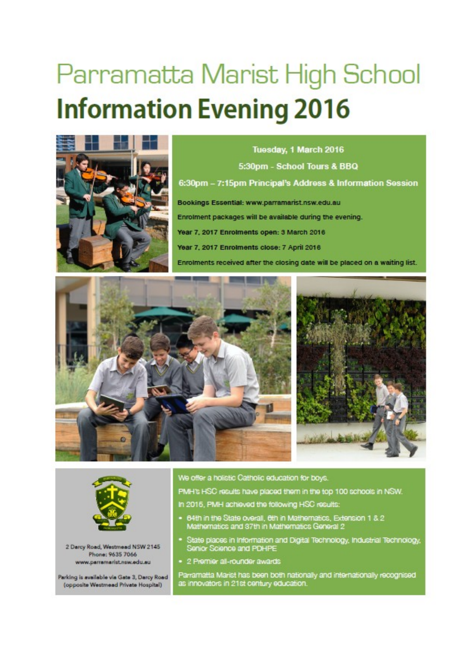# Parramatta Marist High School **Information Evening 2016**



Tuesday, 1 March 2016 5:30pm - School Tours & BBQ 6:30pm - 7:15pm Principal's Address & Information Session Bookings Essential: www.parramarist.nsw.edu.au Enrolment packages will be available during the evening. Year 7, 2017 Enrolments open: 3 March 2016 Year 7, 2017 Enrolments close: 7 April 2016 Enrolments received after the closing date will be placed on a waiting list.







2 Darcy Road, Westmead NSW 2145 Phone: 9635 7066 www.parramarist.nsw.edu.eu

Parking is available via Gate 3, Darcy Road (opposite Westmead Private Hospital)

We offer a holistic Catholic education for boys.

PMH's HSC results have placed them in the top 100 schools in NSW.

- In 2015, PMH achieved the following HSC results:
- . 64th in the State overall, 6th in Mathematics, Extension 1 & 2 Mathematics and 37th in Mathematics General 2
- · State places in Information and Digital Technology, Industrial Technology, Senior Science and PDHPE
- · 2 Premier all-rounder awards

Parramatta Marist has been both nationally and internationally recognised as innovators in 21st century education.